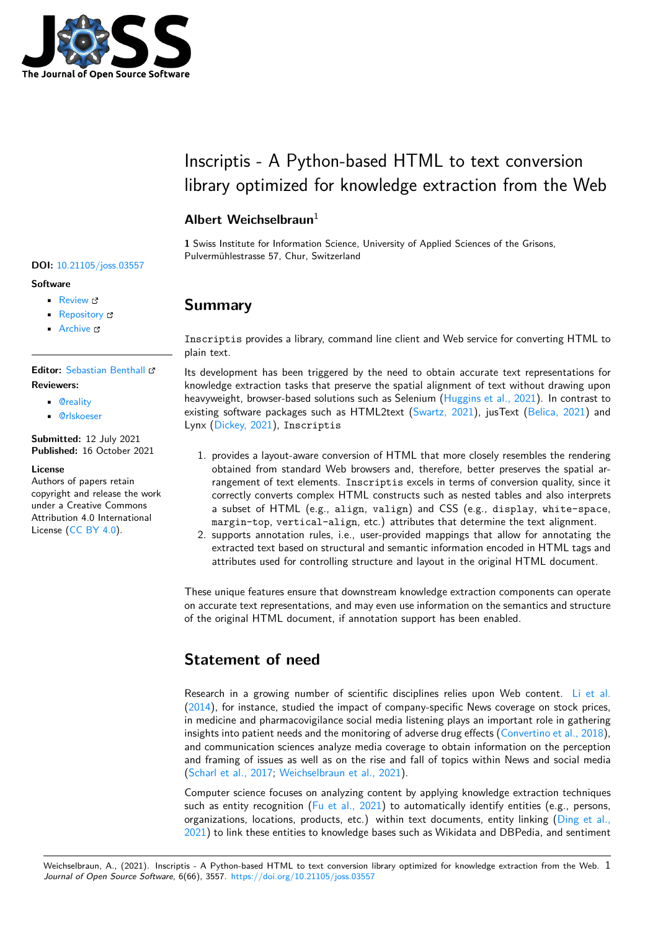

# Inscriptis - A Python-based HTML to text conversion library optimized for knowledge extraction from the Web

### **Albert Weichselbraun**<sup>1</sup>

**1** Swiss Institute for Information Science, University of Applied Sciences of the Grisons, Pulvermühlestrasse 57, Chur, Switzerland

## **Summary**

Inscriptis provides a library, command line client and Web service for converting HTML to plain text.

Its development has been triggered by the need to obtain accurate text representations for knowledge extraction tasks that preserve the spatial alignment of text without drawing upon heavyweight, browser-based solutions such as Selenium (Huggins et al., 2021). In contrast to existing software packages such as HTML2text (Swartz, 2021), jusText (Belica, 2021) and Lynx (Dickey, 2021), Inscriptis

- 1. provides a layout-aware conversion of HTML that [more closely resembl](#page-3-0)es the rendering obtained from standard Web browsers and[, therefore, be](#page-4-0)tter preser[ves the spati](#page-3-1)al ar[rangement of](#page-3-2) text elements. Inscriptis excels in terms of conversion quality, since it correctly converts complex HTML constructs such as nested tables and also interprets a subset of HTML (e.g., align, valign) and CSS (e.g., display, white-space, margin-top, vertical-align, etc.) attributes that determine the text alignment.
- 2. supports annotation rules, i.e., user-provided mappings that allow for annotating the extracted text based on structural and semantic information encoded in HTML tags and attributes used for controlling structure and layout in the original HTML document.

These unique features ensure that downstream knowledge extraction components can operate on accurate text representations, and may even use information on the semantics and structure of the original HTML document, if annotation support has been enabled.

## **Statement of need**

Research in a growing number of scientific disciplines relies upon Web content. Li et al.  $(2014)$ , for instance, studied the impact of company-specific News coverage on stock prices, in medicine and pharmacovigilance social media listening plays an important role in gathering insights into patient needs and the monitoring of adverse drug effects (Convertino et al., 2018), and communication sciences analyze media coverage to obtain information on the p[erception](#page-4-1) [and fr](#page-4-1)aming of issues as well as on the rise and fall of topics within News and social media (Scharl et al., 2017; Weichselbraun et al., 2021).

Computer science focuses on analyzing content by applying knowled[ge extraction technique](#page-3-3)s such as entity recognition (Fu et al., 2021) to automatically identify entities (e.g., persons, organizations, locations, products, etc.) within text documents, entity linking (Ding et al., [2021\) to link these e](#page-4-2)[ntities to knowledge bases s](#page-5-0)uch as Wikidata and DBPedia, and sentiment

### **DOI:** 10.21105/joss.03557

#### **Software**

- Review C
- [Repository](https://doi.org/10.21105/joss.03557) &
- Archive

## **Editor:** [Sebastian](https://github.com/weblyzard/inscriptis/) Benthall

### **Revie[wers:](https://doi.org/10.5281/zenodo.5562417)**

- @reality
- @[rlskoeser](https://sbenthall.net )

**Submitted:** 12 July 2021 **Publi[shed:](https://github.com/reality)** 16 October 2021

#### **License**

Autho[rs of paper](https://github.com/rlskoeser)s retain copyright and release the work under a Creative Commons Attribution 4.0 International License (CC BY 4.0).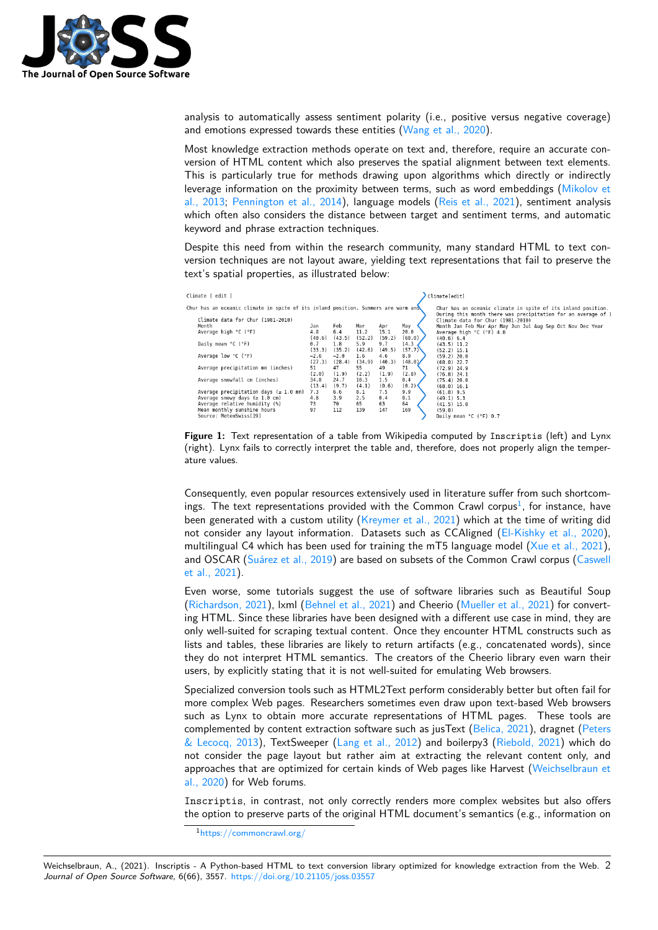

analysis to automatically assess sentiment polarity (i.e., positive versus negative coverage) and emotions expressed towards these entities (Wang et al., 2020).

Most knowledge extraction methods operate on text and, therefore, require an accurate conversion of HTML content which also preserves the spatial alignment between text elements. This is particularly true for methods drawing upon algorithms which directly or indirectly leverage information on the proximity between [terms, such as wo](#page-4-3)rd embeddings (Mikolov et al., 2013; Pennington et al., 2014), language models (Reis et al., 2021), sentiment analysis which often also considers the distance between target and sentiment terms, and automatic keyword and phrase extraction techniques.

Despite this need from within the research community, many standard HTML t[o text con](#page-4-4)[version te](#page-4-4)[chniques are not layout a](#page-4-5)ware, yielding text r[epresentations tha](#page-4-6)t fail to preserve the text's spatial properties, as illustrated below:



**Figure 1:** Text representation of a table from Wikipedia computed by Inscriptis (left) and Lynx (right). Lynx fails to correctly interpret the table and, therefore, does not properly align the temperature values.

Consequently, even popular resources extensively used in literature suffer from such shortcomings. The text representations provided with the Common Crawl corpus<sup>1</sup>, for instance, have been generated with a custom utility (Kreymer et al., 2021) which at the time of writing did not consider any layout information. Datasets such as CCAligned (El-Kishky et al., 2020), multilingual C4 which has been used for training the mT5 language model (Xue et al., 2021), and OSCAR (Suárez et al., 2019) are based on subsets of the Common [Cra](#page-1-0)wl corpus (Caswell et al., 2021).

Even worse, some tutorials suggest the use of software libraries [such as Beautiful Sou](#page-3-6)p (Richardson, 2021), lxml (Behnel et al., 2021) and Cheerio (Mueller et al., [2021\) for convert](#page-5-1)ing HTML. Si[nce these libraries h](#page-4-7)ave been designed with a different use case in mind, [they are](#page-3-7) [only well-su](#page-3-7)ited for scraping textual content. Once they encounter HTML constructs such as lists and tables, these libraries are likely to return artifacts (e.g., concatenated words), since t[hey do not interp](#page-4-8)ret HT[ML semantics. The](#page-3-8) creators of th[e Cheerio library eve](#page-4-9)n warn their users, by explicitly stating that it is not well-suited for emulating Web browsers.

Specialized conversion tools such as HTML2Text perform considerably better but often fail for more complex Web pages. Researchers sometimes even draw upon text-based Web browsers such as Lynx to obtain more accurate representations of HTML pages. These tools are complemented by content extraction software such as jusText (Belica, 2021), dragnet (Peters & Lecocq, 2013), TextSweeper (Lang et al., 2012) and boilerpy3 (Riebold, 2021) which do not consider the page layout but rather aim at extracting the relevant content only, and approaches that are optimized for certain kinds of Web pages like Harvest (Weichselbraun et al., 2020) for Web forums.

[Inscriptis](#page-4-10), in contrast, not o[nly correctly rende](#page-4-11)rs more comple[x websites but](#page-4-12) also offers the option to preserve parts of the original HTML document's semantics (e.[g., information on](#page-4-13)

<span id="page-1-0"></span><sup>1</sup>[https:/](#page-4-13)/commoncrawl.org/

Weichselbraun, A., (2021). Inscriptis - A Python-based HTML to text conversion library optimized for knowledge extraction from the Web. 2*Journal of Open Source Software*, 6(66), 3557. https://doi.org/10.21105/joss.03557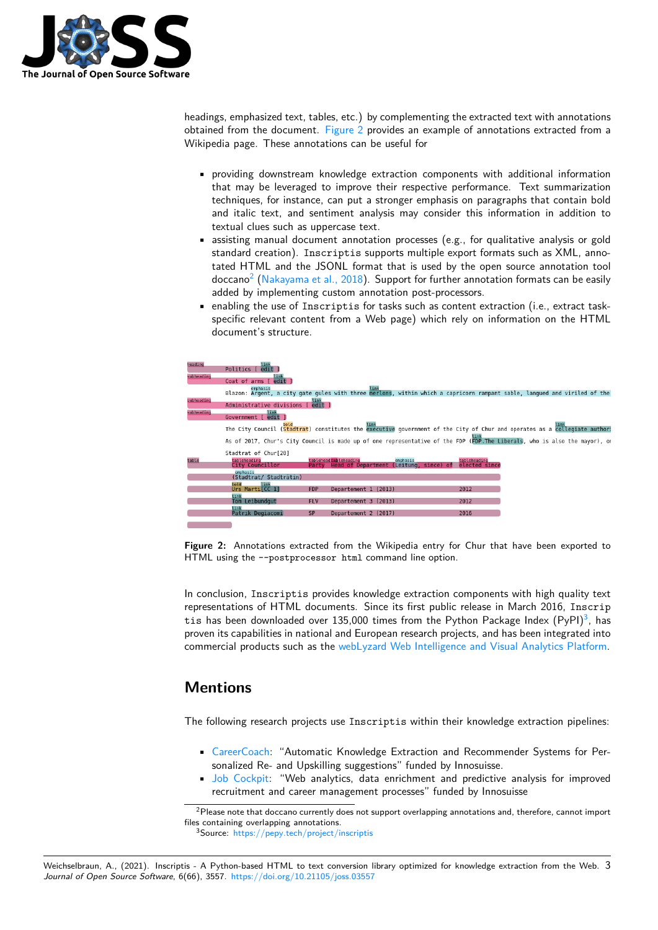

headings, emphasized text, tables, etc.) by complementing the extracted text with annotations obtained from the document. Figure 2 provides an example of annotations extracted from a Wikipedia page. These annotations can be useful for

- providing downstream knowledge extraction components with additional information that may be leveraged [to improv](#page-2-0)e their respective performance. Text summarization techniques, for instance, can put a stronger emphasis on paragraphs that contain bold and italic text, and sentiment analysis may consider this information in addition to textual clues such as uppercase text.
- assisting manual document annotation processes (e.g., for qualitative analysis or gold standard creation). Inscriptis supports multiple export formats such as XML, annotated HTML and the JSONL format that is used by the open source annotation tool doccano $^2$  (Nakayama et al., 2018). Support for further annotation formats can be easily added by implementing custom annotation post-processors.
- enabling the use of Inscriptis for tasks such as content extraction (i.e., extract taskspecific relevant content from a Web page) which rely on information on the HTML docume[nt](#page-2-1)'[s structure.](#page-4-14)

<span id="page-2-0"></span>

| heading    | link<br>Politics [ edit                                                                                                              |            |                                              |          |               |  |  |
|------------|--------------------------------------------------------------------------------------------------------------------------------------|------------|----------------------------------------------|----------|---------------|--|--|
| subheading | Coat of arms [ edit                                                                                                                  |            |                                              |          |               |  |  |
| subheading | emphasis<br>Blazon: Argent, a city gate gules with three merlons, within which a capricorn rampant sable, langued and viriled of the |            | link                                         |          |               |  |  |
|            | Administrative divisions [ edit ]                                                                                                    |            |                                              |          |               |  |  |
| subheading | Government [ edit ]                                                                                                                  |            |                                              |          |               |  |  |
|            | bold<br>The City Council (Stadtrat) constitutes the executive government of the City of Chur and operates as a collegiate authori    |            | link                                         |          |               |  |  |
|            | As of 2017, Chur's City Council is made up of one representative of the FDP (FDP. The Liberals, who is also the mayor), or           |            |                                              |          |               |  |  |
|            | Stadtrat of Chur[20]                                                                                                                 |            |                                              |          |               |  |  |
| table      | tableheading                                                                                                                         |            | tablehead tableheading                       | emphasis | tableheading  |  |  |
|            | City Councillor                                                                                                                      |            | Party Head of Department (Leitung, since) of |          | elected since |  |  |
|            | emphasis<br>(Stadtrat/ Stadträtin)                                                                                                   |            |                                              |          |               |  |  |
|            | link<br>botH                                                                                                                         |            |                                              |          |               |  |  |
|            | Urs Marti[CC 1]                                                                                                                      | <b>FDP</b> | Departement 1 (2013)                         |          | 2012          |  |  |
|            | link<br>Tom Leibundaut                                                                                                               | <b>FLV</b> | Departement 3 (2013)                         |          | 2012          |  |  |
|            | link                                                                                                                                 |            |                                              |          |               |  |  |
|            | Patrik Degiacomi                                                                                                                     | <b>SP</b>  | Departement 2 (2017)                         |          | 2016          |  |  |
|            |                                                                                                                                      |            |                                              |          |               |  |  |
|            |                                                                                                                                      |            |                                              |          |               |  |  |

**Figure 2:** Annotations extracted from the Wikipedia entry for Chur that have been exported to HTML using the --postprocessor html command line option.

In conclusion, Inscriptis provides knowledge extraction components with high quality text representations of HTML documents. Since its first public release in March 2016, Inscrip tis has been downloaded over 135,000 times from the Python Package Index  $(PyPI)^3$ , has proven its capabilities in national and European research projects, and has been integrated into commercial products such as the webLyzard Web Intelligence and Visual Analytics Platform.

## **Mentions**

The following research projects use Inscriptis within their knowledge extraction pipelines:

- CareerCoach: "Automatic Knowledge Extraction and Recommender Systems for Personalized Re- and Upskilling suggestions" funded by Innosuisse.
- Job Cockpit: "Web analytics, data enrichment and predictive analysis for improved recruitment and career management processes" funded by Innosuisse

<sup>&</sup>lt;sup>2</sup>Pl[ease note that d](https://www.fhgr.ch/CareerCoach)occano currently does not support overlapping annotations and, therefore, cannot import files containing overlapping annotations.

<span id="page-2-1"></span><sup>3</sup>Source: [https://p](https://www.fhgr.ch/Job-Cockpit)epy.tech/project/inscriptis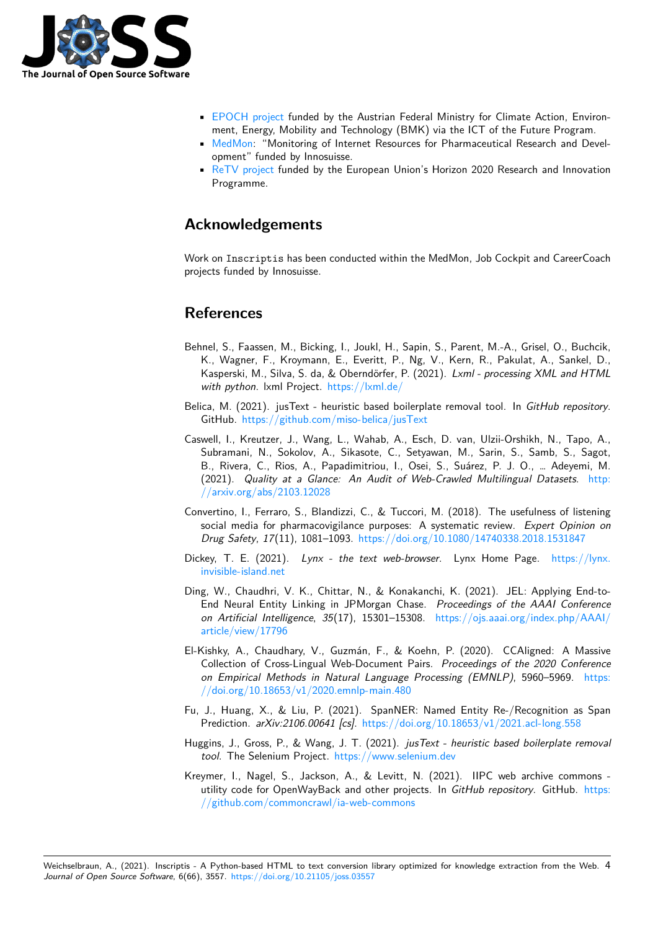

- EPOCH project funded by the Austrian Federal Ministry for Climate Action, Environment, Energy, Mobility and Technology (BMK) via the ICT of the Future Program.
- MedMon: "Monitoring of Internet Resources for Pharmaceutical Research and Development" funded by Innosuisse.
- [ReTV project](https://www.epoch-project.eu) funded by the European Union's Horizon 2020 Research and Innovation Programme.

### **Ack[nowledge](https://www.retv-project.eu)ments**

Work on Inscriptis has been conducted within the MedMon, Job Cockpit and CareerCoach projects funded by Innosuisse.

## **References**

- Behnel, S., Faassen, M., Bicking, I., Joukl, H., Sapin, S., Parent, M.-A., Grisel, O., Buchcik, K., Wagner, F., Kroymann, E., Everitt, P., Ng, V., Kern, R., Pakulat, A., Sankel, D., Kasperski, M., Silva, S. da, & Oberndörfer, P. (2021). *Lxml - processing XML and HTML with python*. lxml Project. https://lxml.de/
- <span id="page-3-8"></span>Belica, M. (2021). jusText - heuristic based boilerplate removal tool. In *GitHub repository*. GitHub. https://github.com/miso-belica/jusText
- <span id="page-3-1"></span>Caswell, I., Kreutzer, J., Wan[g, L., Wahab, A.](https://lxml.de/), Esch, D. van, Ulzii-Orshikh, N., Tapo, A., Subramani, N., Sokolov, A., Sikasote, C., Setyawan, M., Sarin, S., Samb, S., Sagot, B., Rivera, C., Rios, A., Papadimitriou, I., Osei, S., Suárez, P. J. O., … Adeyemi, M. (2021). *[Quality at a Glance: An Audit of Web](https://github.com/miso-belica/jusText)-Crawled Multilingual Datasets*. http: //arxiv.org/abs/2103.12028
- <span id="page-3-7"></span>Convertino, I., Ferraro, S., Blandizzi, C., & Tuccori, M. (2018). The usefulness of listening social media for pharmacovigilance purposes: A systematic review. *Expert Opini[on on](http://arxiv.org/abs/2103.12028) Drug Safety*, *17*[\(11\), 1081–1](http://arxiv.org/abs/2103.12028)093. https://doi.org/10.1080/14740338.2018.1531847
- Dickey, T. E. (2021). *Lynx the text web-browser*. Lynx Home Page. https://lynx. invisible-island.net
- <span id="page-3-3"></span>Ding, W., Chaudhri, V. K., Chittar, [N., & Konakanchi, K. \(2021\). JEL: Applying En](https://doi.org/10.1080/14740338.2018.1531847)d-to-End Neural Entity Linking in JPMorgan Chase. *Proceedings of the AAAI Conference on Artificial Intelligence*, *35*(17), 15301–15308. https://ojs.aaai.org/inde[x.php/AAAI/](https://lynx.invisible-island.net) [article/view/17796](https://lynx.invisible-island.net)
- <span id="page-3-5"></span><span id="page-3-2"></span>El-Kishky, A., Chaudhary, V., Guzmán, F., & Koehn, P. (2020). CCAligned: A Massive Collection of Cross-Lingual Web-Document Pairs. *[Proceedings of the 2020 Conference](https://ojs.aaai.org/index.php/AAAI/article/view/17796) on Empirical Methods in Natural Language Processing (EMNLP)*, 5960–5969. https: [//doi.org/10.18653](https://ojs.aaai.org/index.php/AAAI/article/view/17796)/v1/2020.emnlp-main.480
- <span id="page-3-6"></span>Fu, J., Huang, X., & Liu, P. (2021). SpanNER: Named Entity Re-/Recognition as Span Prediction. *arXiv:2106.00641 [cs]*. https://doi.org/10.18653/v1/2021.acl-long.558
- Hu[ggins, J., Gross, P., & Wang, J. T. \(2021\).](https://doi.org/10.18653/v1/2020.emnlp-main.480) *jusText heuristic based boilerplate re[moval](https://doi.org/10.18653/v1/2020.emnlp-main.480) tool*. The Selenium Project. https://www.selenium.dev
- <span id="page-3-4"></span><span id="page-3-0"></span>Kreymer, I., Nagel, S., Jackson, A., [& Levitt, N. \(2021\). IIPC web archive comm](https://doi.org/10.18653/v1/2021.acl-long.558)ons utility code for OpenWayBack and other projects. In *GitHub repository*. GitHub. https: //github.com/commoncrawl[/ia-web-commons](https://www.selenium.dev)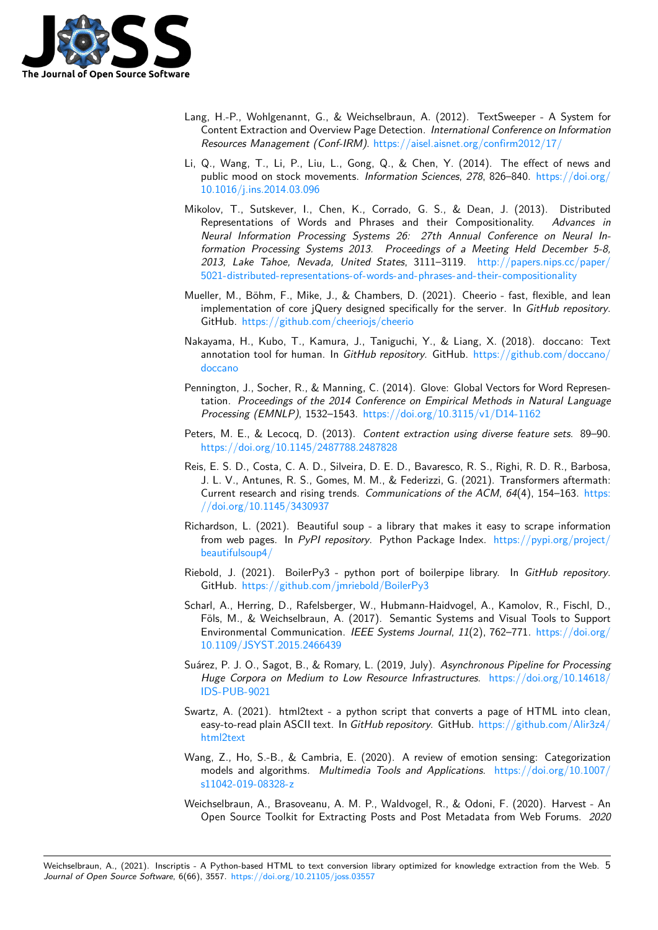

- Lang, H.-P., Wohlgenannt, G., & Weichselbraun, A. (2012). TextSweeper A System for Content Extraction and Overview Page Detection. *International Conference on Information Resources Management (Conf-IRM)*. https://aisel.aisnet.org/confirm2012/17/
- <span id="page-4-11"></span>Li, Q., Wang, T., Li, P., Liu, L., Gong, Q., & Chen, Y. (2014). The effect of news and public mood on stock movements. *Information Sciences*, *278*, 826–840. https://doi.org/ 10.1016/j.ins.2014.03.096
- <span id="page-4-1"></span>Mikolov, T., Sutskever, I., Chen, K., [Corrado, G. S., & Dean, J. \(2013\). D](https://aisel.aisnet.org/confirm2012/17/)istributed Representations of Words and Phrases and their Compositionality. *Advances in Neural Information Processing Systems 26: 27th Annual Conferenc[e on Neural In](https://doi.org/10.1016/j.ins.2014.03.096)[formation Processing Sys](https://doi.org/10.1016/j.ins.2014.03.096)tems 2013. Proceedings of a Meeting Held December 5-8, 2013, Lake Tahoe, Nevada, United States*, 3111–3119. http://papers.nips.cc/paper/ 5021-distributed-representations-of-words-and-phrases-and-their-compositionality
- <span id="page-4-4"></span>Mueller, M., Böhm, F., Mike, J., & Chambers, D. (2021). Cheerio - fast, flexible, and lean implementation of core jQuery designed specifically for the server. In *[GitHub repository](http://papers.nips.cc/paper/5021-distributed-representations-of-words-and-phrases-and-their-compositionality)*. GitHub. [https://github.com/cheeriojs/cheerio](http://papers.nips.cc/paper/5021-distributed-representations-of-words-and-phrases-and-their-compositionality)
- <span id="page-4-9"></span>Nakayama, H., Kubo, T., Kamura, J., Taniguchi, Y., & Liang, X. (2018). doccano: Text annotation tool for human. In *GitHub repository*. GitHub. https://github.com/doccano/ doccano
- <span id="page-4-14"></span>Pennington, [J., Socher, R., & Manning, C. \(2014\).](https://github.com/cheeriojs/cheerio) Glove: Global Vectors for Word Representation. *Proceedings of the 2014 Conference on Empirical [Methods in Natural Language](https://github.com/doccano/doccano) [Processin](https://github.com/doccano/doccano)g (EMNLP)*, 1532–1543. https://doi.org/10.3115/v1/D14-1162
- Peters, M. E., & Lecocq, D. (2013). *Content extraction using diverse feature sets*. 89–90. https://doi.org/10.1145/2487788.2487828
- <span id="page-4-5"></span>Reis, E. S. D., Costa, C. A. D., Silveir[a, D. E. D., Bavaresco, R. S., Righi, R. D](https://doi.org/10.3115/v1/D14-1162). R., Barbosa, J. L. V., Antunes, R. S., Gomes, M. M., & Federizzi, G. (2021). Transformers aftermath: Current research and rising trends. *Communications of the ACM*, *64*(4), 154–163. https: [//doi.org/10.1145/3430937](https://doi.org/10.1145/2487788.2487828)
- <span id="page-4-10"></span><span id="page-4-6"></span>Richardson, L. (2021). Beautiful soup - a library that makes it easy to scrape information from web pages. In *PyPI repository*. Python Package Index. https://pypi.org/pr[oject/](https://doi.org/10.1145/3430937) [beautifulsoup4/](https://doi.org/10.1145/3430937)
- Riebold, J. (2021). BoilerPy3 python port of boilerpipe library. In *GitHub repository*. GitHub. https://github.com/jmriebold/BoilerPy3
- <span id="page-4-8"></span>Sch[arl, A., Herring,](https://pypi.org/project/beautifulsoup4/) D., Rafelsberger, W., Hubmann-Haidvogel, A.[, Kamolov, R., Fischl, D.,](https://pypi.org/project/beautifulsoup4/) Föls, M., & Weichselbraun, A. (2017). Semantic Systems and Visual Tools to Support Environmental Communication. *IEEE Systems Journal*, *11*(2), 762–771. https://doi.org/ 10.1109[/JSYST.2015.2466439](https://github.com/jmriebold/BoilerPy3)
- <span id="page-4-12"></span><span id="page-4-2"></span>Suárez, P. J. O., Sagot, B., & Romary, L. (2019, July). *Asynchronous Pipeline for Processing Huge Corpora on Medium to Low Resource Infrastructures*. https://d[oi.org/10.14618/](https://doi.org/10.1109/JSYST.2015.2466439) [IDS-PUB-9021](https://doi.org/10.1109/JSYST.2015.2466439)
- <span id="page-4-7"></span>Swartz, A. (2021). html2text - a python script that converts a page of HTML into clean, easy-to-read plain ASCII text. In *GitHub repository*. GitHub. ht[tps://github.com/Alir3z4/](https://doi.org/10.14618/IDS-PUB-9021) [html2text](https://doi.org/10.14618/IDS-PUB-9021)
- <span id="page-4-0"></span>Wang, Z., Ho, S.-B., & Cambria, E. (2020). A review of emotion sensing: Categorization models and algorithms. *Multimedia Tools and Applications*. [https://doi.org/10.1007/](https://github.com/Alir3z4/html2text) [s11042-01](https://github.com/Alir3z4/html2text)9-08328-z
- <span id="page-4-13"></span><span id="page-4-3"></span>Weichselbraun, A., Brasoveanu, A. M. P., Waldvogel, R., & Odoni, F. (2020). Harvest - An Open Source Toolkit for Extracting Posts and Post Metadata [from Web Forums.](https://doi.org/10.1007/s11042-019-08328-z) *2020*